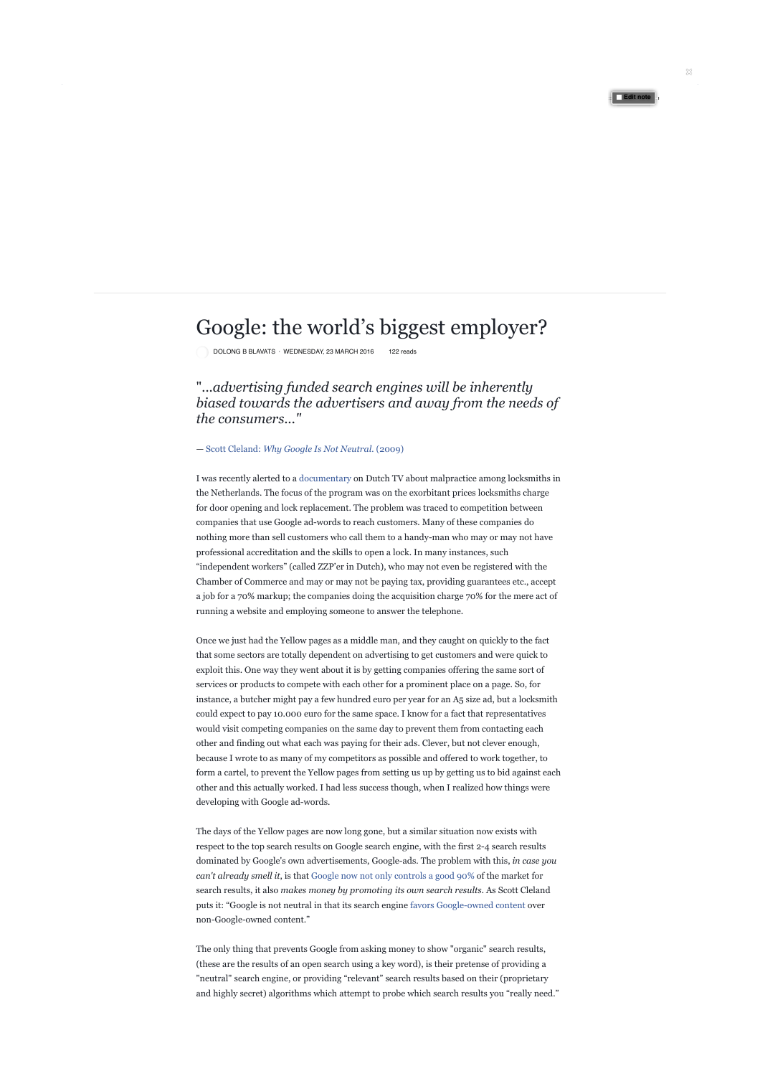## Google: the world's biggest employer?

Decema D DEMV DOLONG B BLAVATS · WEDNESDAY, 23 MARCH 2016 122 reads

"...advertising funded search engines will be inherently choices we make but of the manner in which those *biased towards the advertisers and away from the needs of*  choices are made. — Daniel Waterman, April 2016. the consumers..."

## — Scott Cleland: *Why Google Is Not Neutral.* (2009)

nothing more than sell customers who call them to a handy-man who may or may not have professional accreditation and the skills to open a lock. In many instances, such I was recently alerted to a documentary on Dutch TV about malpractice among locksmiths in the Netherlands. The focus of the program was on the exorbitant prices locksmiths charge for door opening and lock replacement. The problem was traced to competition between companies that use Google ad-words to reach customers. Many of these companies do "independent workers" (called ZZP'er in Dutch), who may not even be registered with the Chamber of Commerce and may or may not be paying tax, providing guarantees etc., accept a job for a 70% markup; the companies doing the acquisition charge 70% for the mere act of running a website and employing someone to answer the telephone.

Possibility of Choice<sup>1</sup> could expect to pay 10.000 euro for the same space. I know for a fact that representatives at least two possibilities available to us: we can do would visit competing companies on the same day to prevent them from contacting each other and finding out what each was paying for their ads. Clever, but not clever enough, because I wrote to as many of my competitors as possible and offered to work together, to form a cartel, to prevent the Yellow pages from setting us up by getting us to bid against each other and this actually worked. I had less success though, when I realized how things were Once we just had the Yellow pages as a middle man, and they caught on quickly to the fact that some sectors are totally dependent on advertising to get customers and were quick to exploit this. One way they went about it is by getting companies offering the same sort of services or products to compete with each other for a prominent place on a page. So, for instance, a butcher might pay a few hundred euro per year for an A5 size ad, but a locksmith developing with Google ad-words.

**Comment Share** dominated by Google's own advertisements, Google-ads. The problem with this, *in case you*  The days of the Yellow pages are now long gone, but a similar situation now exists with respect to the top search results on Google search engine, with the first 2-4 search results *can't already smell it*, is that Google now not only controls a good 90% of the market for search results, it also *makes money by promoting its own search results.* As Scott Cleland puts it: "Google is not neutral in that its search engine favors Google-owned content over non-Google-owned content."

> The only thing that prevents Google from asking money to show "organic" search results, (these are the results of an open search using a key word), is their pretense of providing a "neutral" search engine, or providing "relevant" search results based on their (proprietary and highly secret) algorithms which attempt to probe which search results you "really need."

**Edit note**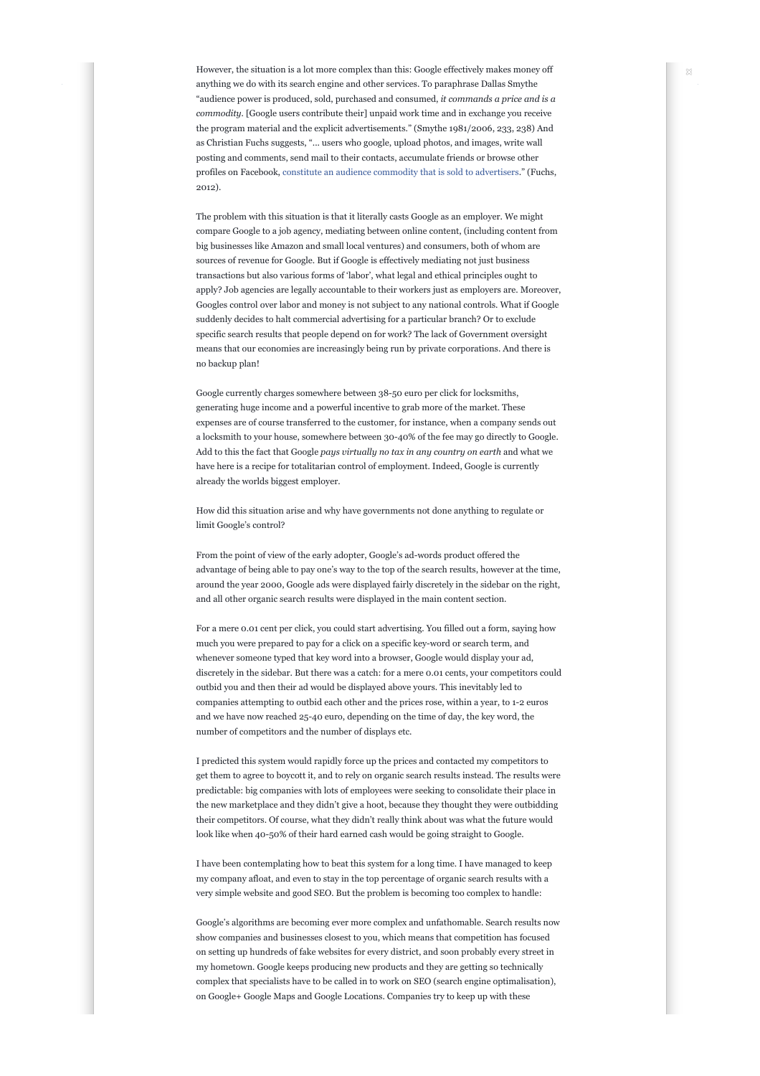anything we do with its search engine and other services. To paraphrase Dallas Smythe  $\frac{a_{1}}{a_{2}}$ 'hallucinogenic' plants. As such, it should give us "audience power is produced, sold, purchased and consumed, *it commands a price and is a commodity.* [Google users contribute their] unpaid work time and in exchange you receive I am referring to a variety of relevant contexts the program material and the explicit advertisements." (Smythe 1981/2006, 233, 238) And However, the situation is a lot more complex than this: Google effectively makes money off as Christian Fuchs suggests, "... users who google, upload photos, and images, write wall posting and comments, send mail to their contacts, accumulate friends or browse other profiles on Facebook, constitute an audience commodity that is sold to advertisers." (Fuchs, 2012).

The problem with this situation is that it literally casts Google as an employer. We might no backup plan! compare Google to a job agency, mediating between online content, (including content from big businesses like Amazon and small local ventures) and consumers, both of whom are sources of revenue for Google. But if Google is effectively mediating not just business transactions but also various forms of 'labor', what legal and ethical principles ought to apply? Job agencies are legally accountable to their workers just as employers are. Moreover, Googles control over labor and money is not subject to any national controls. What if Google suddenly decides to halt commercial advertising for a particular branch? Or to exclude specific search results that people depend on for work? The lack of Government oversight means that our economies are increasingly being run by private corporations. And there is

Google currently charges somewhere between 38-50 euro per click for locksmiths, choices we make but of the manner in which those generating huge income and a powerful incentive to grab more of the market. These expenses are of course transferred to the customer, for instance, when a company sends out a locksmith to your house, somewhere between 30-40% of the fee may go directly to Google. government we inherited from a very different day. The second control of the second control of the second control of the second control of the second control of the second control of the second control of the second contro Add to this the fact that Google *pays virtually no tax in any country on earth* and what we have here is a recipe for totalitarian control of employment. Indeed, Google is currently already the worlds biggest employer.

> How did this situation arise and why have governments not done anything to regulate or limit Google's control?

From the point of view of the early adopter, Google's ad-words product offered the advantage of being able to pay one's way to the top of the search results, however at the time, around the year 2000, Google ads were displayed fairly discretely in the sidebar on the right, and all other organic search results were displayed in the main content section.

Possibility of Choice States of Choice States of Choice States of Choice States of Choice States of Choice States of Choice States of Choice States of Choice States of Choice States of Choice States of Choice States of Cho We often fail to acknowledge that the acknowledge that the there are always are always are always are always are always are always are always are always are always are always are always are always are always are always are and we have now reached 25-40 euro, depending on the time of day, the key word, the number of competitors and the number of displays etc. For a mere 0.01 cent per click, you could start advertising. You filled out a form, saying how much you were prepared to pay for a click on a specific key-word or search term, and whenever someone typed that key word into a browser, Google would display your ad, discretely in the sidebar. But there was a catch: for a mere 0.01 cents, your competitors could outbid you and then their ad would be displayed above yours. This inevitably led to companies attempting to outbid each other and the prices rose, within a year, to 1-2 euros

mentioned various choices are available to us — we I predicted this system would rapidly force up the prices and contacted my competitors to get them to agree to boycott it, and to rely on organic search results instead. The results were predictable: big companies with lots of employees were seeking to consolidate their place in the new marketplace and they didn't give a hoot, because they thought they were outbidding their competitors. Of course, what they didn't really think about was what the future would look like when 40-50% of their hard earned cash would be going straight to Google.

I have been contemplating how to beat this system for a long time. I have managed to keep my company afloat, and even to stay in the top percentage of organic search results with a very simple website and good SEO. But the problem is becoming too complex to handle:

> Google's algorithms are becoming ever more complex and unfathomable. Search results now show companies and businesses closest to you, which means that competition has focused on setting up hundreds of fake websites for every district, and soon probably every street in my hometown. Google keeps producing new products and they are getting so technically complex that specialists have to be called in to work on SEO (search engine optimalisation), on Google+ Google Maps and Google Locations. Companies try to keep up with these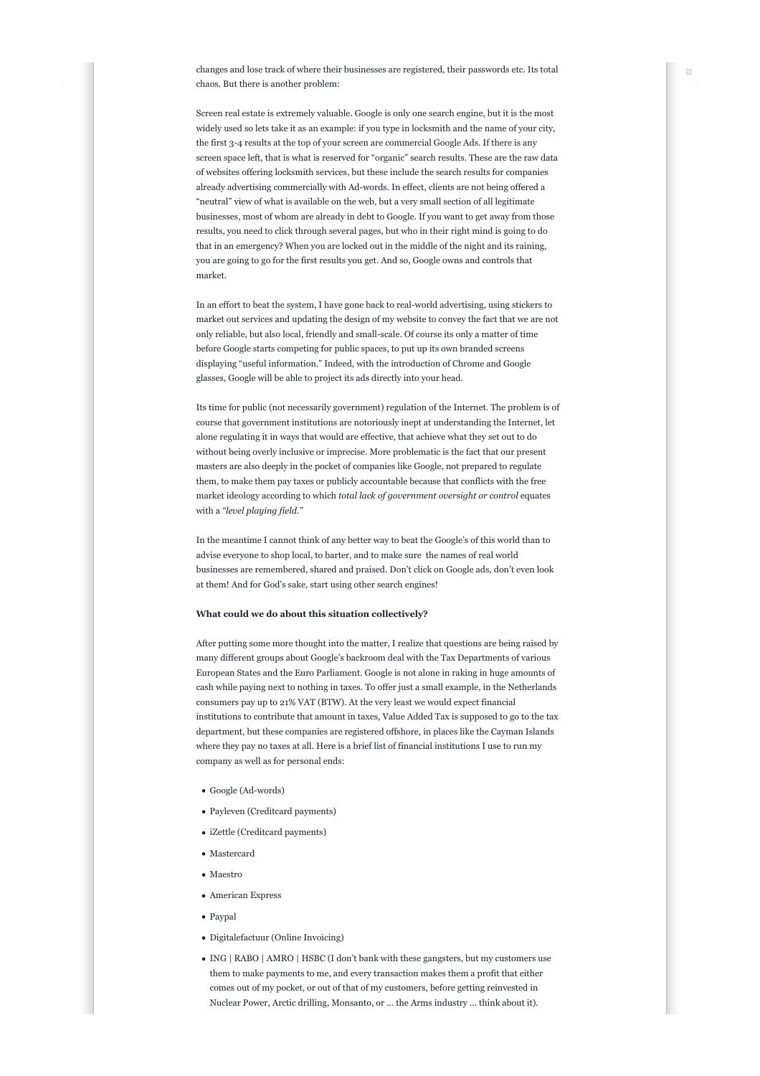chaos. But there is another problem:  $\alpha$ changes and lose track of where their businesses are registered, their passwords etc. Its total

Screen real estate is extremely valuable. Google is only one search engine, but it is the most I am referring to a variety of relevant contexts widely used so lets take it as an example: if you type in locksmith and the name of your city, "neutral" view of what is available on the web, but a very small section of all legitimate businesses, most of whom are already in debt to Google. If you want to get away from those the first 3-4 results at the top of your screen are commercial Google Ads. If there is any screen space left, that is what is reserved for "organic" search results. These are the raw data of websites offering locksmith services, but these include the search results for companies already advertising commercially with Ad-words. In effect, clients are not being offered a results, you need to click through several pages, but who in their right mind is going to do that in an emergency? When you are locked out in the middle of the night and its raining, you are going to go for the first results you get. And so, Google owns and controls that market.

displaying "useful information." Indeed, with the introduction of Chrome and Google In an effort to beat the system, I have gone back to real-world advertising, using stickers to market out services and updating the design of my website to convey the fact that we are not only reliable, but also local, friendly and small-scale. Of course its only a matter of time before Google starts competing for public spaces, to put up its own branded screens glasses, Google will be able to project its ads directly into your head.

choices we make but of the manner in which those Its time for public (not necessarily government) regulation of the Internet. The problem is of course that government institutions are notoriously inept at understanding the Internet, let alone regulating it in ways that would are effective, that achieve what they set out to do government we inherited from a very different day. The second day of the second day of the second day of the s without being overly inclusive or imprecise. More problematic is the fact that our present masters are also deeply in the pocket of companies like Google, not prepared to regulate them, to make them pay taxes or publicly accountable because that conflicts with the free market ideology according to which *total lack of government oversight or control* equates with a *"level playing field."*

In the meantime I cannot think of any better way to beat the Google's of this world than to advise everyone to shop local, to barter, and to make sure the names of real world businesses are remembered, shared and praised. Don't click on Google ads, don't even look at them! And for God's sake, start using other search engines!

## **What could we do about this situation collectively?**

Possibility of Case We often fail to acknowledge that there are always that there are always that there are always there are always institutions to contribute that amount in taxes, Value Added Tax is supposed to go to the tax department, but these companies are registered offshore, in places like the Cayman Islands where they pay no taxes at all. Here is a brief list of financial institutions I use to run my mentioned various choices are available to us — we company as well as for personal ends: After putting some more thought into the matter, I realize that questions are being raised by many different groups about Google's backroom deal with the Tax Departments of various European States and the Euro Parliament. Google is not alone in raking in huge amounts of cash while paying next to nothing in taxes. To offer just a small example, in the Netherlands consumers pay up to 21% VAT (BTW). At the very least we would expect financial

- Google (Ad-words)
	- Payleven (Creditcard payments)
	- iZettle (Creditcard payments)
	- Mastercard
	- Maestro
	- American Express
	- Paypal
	- Digitalefactuur (Online Invoicing)
	- ING | RABO | AMRO | HSBC (I don't bank with these gangsters, but my customers use them to make payments to me, and every transaction makes them a profit that either comes out of my pocket, or out of that of my customers, before getting reinvested in Nuclear Power, Arctic drilling, Monsanto, or ... the Arms industry ... think about it).